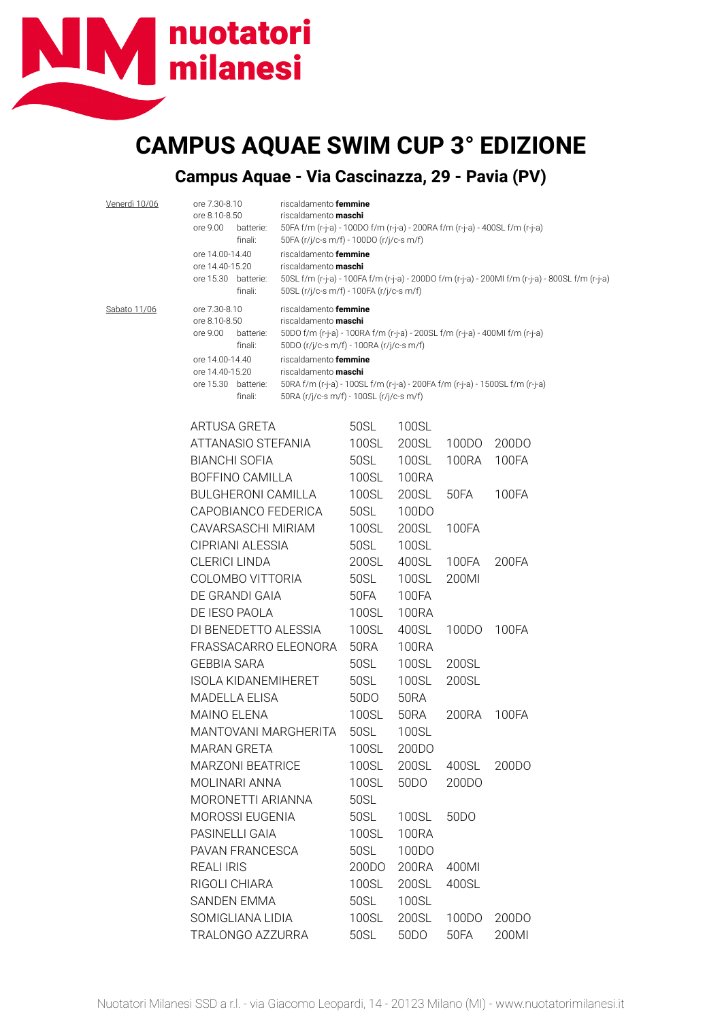## nuotatori milanesi

## **CAMPUS AQUAE SWIM CUP 3° EDIZIONE**

## **Campus Aquae - Via Cascinazza, 29 - Pavia (PV)**

| <u>Venerdì 10/06</u> | ore 7.30-8.10<br>ore 8.10-8.50<br>ore 9.00<br>batterie:<br>finali:   | riscaldamento femmine<br>riscaldamento <b>maschi</b>                                                                                                                                          | 50FA f/m (r-j-a) - 100DO f/m (r-j-a) - 200RA f/m (r-j-a) - 400SL f/m (r-j-a)<br>50FA (r/j/c-s m/f) - 100DO (r/j/c-s m/f) |                   |       |  |  |
|----------------------|----------------------------------------------------------------------|-----------------------------------------------------------------------------------------------------------------------------------------------------------------------------------------------|--------------------------------------------------------------------------------------------------------------------------|-------------------|-------|--|--|
|                      | ore 14.00-14.40<br>ore 14.40-15.20<br>ore 15.30 batterie:<br>finali: | riscaldamento femmine<br>riscaldamento maschi<br>50SL f/m (r-j-a) - 100FA f/m (r-j-a) - 200DO f/m (r-j-a) - 200MI f/m (r-j-a) - 800SL f/m (r-j-a)<br>50SL (r/j/c-s m/f) - 100FA (r/j/c-s m/f) |                                                                                                                          |                   |       |  |  |
| Sabato 11/06         | ore 7.30-8.10<br>ore 8.10-8.50<br>ore 9.00<br>batterie:              | riscaldamento femmine<br>riscaldamento maschi                                                                                                                                                 | 50DO f/m (r-j-a) - 100RA f/m (r-j-a) - 200SL f/m (r-j-a) - 400MI f/m (r-j-a)                                             |                   |       |  |  |
|                      | finali:                                                              |                                                                                                                                                                                               | 50DO (r/j/c-s m/f) - 100RA (r/j/c-s m/f)                                                                                 |                   |       |  |  |
|                      | ore 14.00-14.40<br>ore 14.40-15.20<br>ore 15.30 batterie:<br>finali: | riscaldamento femmine<br>riscaldamento maschi<br>50RA (r/j/c-s m/f) - 100SL (r/j/c-s m/f)                                                                                                     | 50RA f/m (r-j-a) - 100SL f/m (r-j-a) - 200FA f/m (r-j-a) - 1500SL f/m (r-j-a)                                            |                   |       |  |  |
|                      | ARTUSA GRETA                                                         | 50SL                                                                                                                                                                                          | 100SL                                                                                                                    |                   |       |  |  |
|                      | ATTANASIO STEFANIA                                                   | 100SL                                                                                                                                                                                         | 200SL                                                                                                                    | 100DO             | 200DO |  |  |
|                      | <b>BIANCHI SOFIA</b>                                                 | 50SL                                                                                                                                                                                          | 100SL                                                                                                                    | 100RA             | 100FA |  |  |
|                      | BOFFINO CAMILLA                                                      | 100SL                                                                                                                                                                                         | 100RA                                                                                                                    |                   |       |  |  |
|                      | <b>BULGHERONI CAMILLA</b>                                            | 100SL                                                                                                                                                                                         | 200SL                                                                                                                    | 50FA              | 100FA |  |  |
|                      | CAPOBIANCO FEDERICA                                                  | 50SL                                                                                                                                                                                          | 100DO                                                                                                                    |                   |       |  |  |
|                      | CAVARSASCHI MIRIAM                                                   | 100SL                                                                                                                                                                                         | 200SL                                                                                                                    | 100FA             |       |  |  |
|                      | CIPRIANI ALESSIA                                                     | 50SL                                                                                                                                                                                          | 100SL                                                                                                                    |                   |       |  |  |
|                      | <b>CLERICI LINDA</b>                                                 | 200SL                                                                                                                                                                                         | 400SL                                                                                                                    | 100FA             | 200FA |  |  |
|                      | COLOMBO VITTORIA                                                     | 50SL                                                                                                                                                                                          | 100SL                                                                                                                    | 200MI             |       |  |  |
|                      | DE GRANDI GAIA                                                       | 50FA                                                                                                                                                                                          | 100FA                                                                                                                    |                   |       |  |  |
|                      | DE IESO PAOLA                                                        | 100SL                                                                                                                                                                                         | 100RA                                                                                                                    |                   |       |  |  |
|                      | DI BENEDETTO ALESSIA                                                 | 100SL                                                                                                                                                                                         | 400SL                                                                                                                    | 100DO             | 100FA |  |  |
|                      | FRASSACARRO ELEONORA                                                 | 50RA                                                                                                                                                                                          | <b>100RA</b>                                                                                                             |                   |       |  |  |
|                      | <b>GEBBIA SARA</b>                                                   | 50SL                                                                                                                                                                                          | 100SL                                                                                                                    | 200SL             |       |  |  |
|                      | <b>ISOLA KIDANEMIHERET</b>                                           | 50SL                                                                                                                                                                                          | 100SL                                                                                                                    | 200SL             |       |  |  |
|                      | <b>MADELLA ELISA</b>                                                 | 50 <sub>D</sub> O                                                                                                                                                                             | <b>50RA</b>                                                                                                              |                   |       |  |  |
|                      | <b>MAINO ELENA</b>                                                   | 100SL                                                                                                                                                                                         | 50RA                                                                                                                     | 200RA             | 100FA |  |  |
|                      | MANTOVANI MARGHERITA                                                 | 50SL                                                                                                                                                                                          | 100SL                                                                                                                    |                   |       |  |  |
|                      | <b>MARAN GRETA</b>                                                   | 100SL                                                                                                                                                                                         | 200DO                                                                                                                    |                   |       |  |  |
|                      | <b>MARZONI BEATRICE</b>                                              | 100SL                                                                                                                                                                                         | 200SL                                                                                                                    | 400SL             | 200DO |  |  |
|                      | MOLINARI ANNA                                                        | 100SL                                                                                                                                                                                         | 50 <sub>D</sub> O                                                                                                        | 200DO             |       |  |  |
|                      | MORONETTI ARIANNA                                                    | 50SL                                                                                                                                                                                          |                                                                                                                          |                   |       |  |  |
|                      | <b>MOROSSI EUGENIA</b>                                               | 50SL                                                                                                                                                                                          | 100SL                                                                                                                    | 50 <sub>D</sub> O |       |  |  |
|                      | PASINELLI GAIA                                                       | 100SL                                                                                                                                                                                         | 100RA                                                                                                                    |                   |       |  |  |
|                      | PAVAN FRANCESCA                                                      | 50SL                                                                                                                                                                                          | 100DO                                                                                                                    |                   |       |  |  |
|                      | <b>REALI IRIS</b>                                                    | 200DO                                                                                                                                                                                         | 200RA                                                                                                                    | 400MI             |       |  |  |
|                      | RIGOLI CHIARA                                                        | 100SL                                                                                                                                                                                         | 200SL                                                                                                                    | 400SL             |       |  |  |
|                      | SANDEN EMMA                                                          | 50SL                                                                                                                                                                                          | 100SL                                                                                                                    |                   |       |  |  |
|                      | SOMIGLIANA LIDIA                                                     | 100SL                                                                                                                                                                                         | 200SL                                                                                                                    | 100DO             | 200DO |  |  |
|                      | TRALONGO AZZURRA                                                     | 50SL                                                                                                                                                                                          | 50 <sub>D</sub> O                                                                                                        | 50FA              | 200MI |  |  |